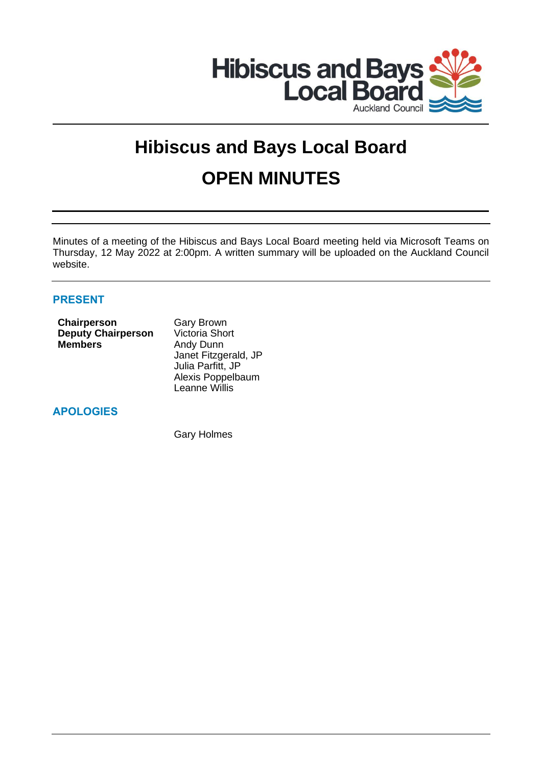

# **Hibiscus and Bays Local Board OPEN MINUTES**

Minutes of a meeting of the Hibiscus and Bays Local Board meeting held via Microsoft Teams on Thursday, 12 May 2022 at 2:00pm. A written summary will be uploaded on the Auckland Council website.

## **PRESENT**

| <b>Chairperson</b>        | <b>Gary Brown</b>     |
|---------------------------|-----------------------|
| <b>Deputy Chairperson</b> | <b>Victoria Short</b> |
| <b>Members</b>            | Andy Dunn             |
|                           | Janet Fitzgerald, JP  |
|                           | Julia Parfitt, JP     |
|                           | Alexis Poppelbaum     |
|                           | Leanne Willis         |

## **APOLOGIES**

Gary Holmes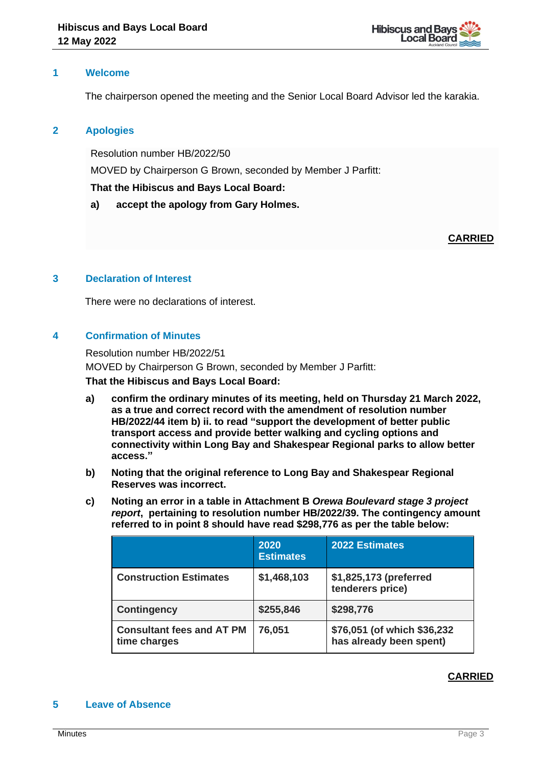

## **1 Welcome**

The chairperson opened the meeting and the Senior Local Board Advisor led the karakia.

## **2 Apologies**

Resolution number HB/2022/50

MOVED by Chairperson G Brown, seconded by Member J Parfitt:

## **That the Hibiscus and Bays Local Board:**

**a) accept the apology from Gary Holmes.**

**CARRIED**

## **3 Declaration of Interest**

There were no declarations of interest.

## **4 Confirmation of Minutes**

Resolution number HB/2022/51 MOVED by Chairperson G Brown, seconded by Member J Parfitt: **That the Hibiscus and Bays Local Board:**

- **a) confirm the ordinary minutes of its meeting, held on Thursday 21 March 2022, as a true and correct record with the amendment of resolution number HB/2022/44 item b) ii. to read "support the development of better public transport access and provide better walking and cycling options and connectivity within Long Bay and Shakespear Regional parks to allow better access."**
- **b) Noting that the original reference to Long Bay and Shakespear Regional Reserves was incorrect.**
- **c) Noting an error in a table in Attachment B** *Orewa Boulevard stage 3 project report***, pertaining to resolution number HB/2022/39. The contingency amount referred to in point 8 should have read \$298,776 as per the table below:**

|                                                  | 2020<br><b>Estimates</b> | <b>2022 Estimates</b>                                  |
|--------------------------------------------------|--------------------------|--------------------------------------------------------|
| <b>Construction Estimates</b>                    | \$1,468,103              | \$1,825,173 (preferred<br>tenderers price)             |
| <b>Contingency</b>                               | \$255,846                | \$298,776                                              |
| <b>Consultant fees and AT PM</b><br>time charges | 76,051                   | \$76,051 (of which \$36,232<br>has already been spent) |

## **CARRIED**

## **5 Leave of Absence**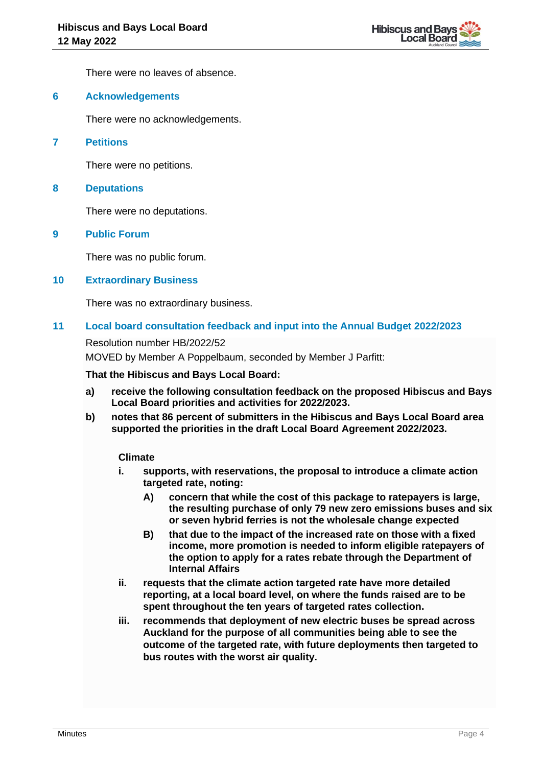

There were no leaves of absence.

## **6 Acknowledgements**

There were no acknowledgements.

**7 Petitions**

There were no petitions.

#### **8 Deputations**

There were no deputations.

## **9 Public Forum**

There was no public forum.

#### **10 Extraordinary Business**

There was no extraordinary business.

## **11 Local board consultation feedback and input into the Annual Budget 2022/2023**

#### Resolution number HB/2022/52

MOVED by Member A Poppelbaum, seconded by Member J Parfitt:

#### **That the Hibiscus and Bays Local Board:**

- **a) receive the following consultation feedback on the proposed Hibiscus and Bays Local Board priorities and activities for 2022/2023.**
- **b) notes that 86 percent of submitters in the Hibiscus and Bays Local Board area supported the priorities in the draft Local Board Agreement 2022/2023.**

### **Climate**

- **i. supports, with reservations, the proposal to introduce a climate action targeted rate, noting:** 
	- **A) concern that while the cost of this package to ratepayers is large, the resulting purchase of only 79 new zero emissions buses and six or seven hybrid ferries is not the wholesale change expected**
	- **B) that due to the impact of the increased rate on those with a fixed income, more promotion is needed to inform eligible ratepayers of the option to apply for a rates rebate through the Department of Internal Affairs**
- **ii. requests that the climate action targeted rate have more detailed reporting, at a local board level, on where the funds raised are to be spent throughout the ten years of targeted rates collection.**
- **iii. recommends that deployment of new electric buses be spread across Auckland for the purpose of all communities being able to see the outcome of the targeted rate, with future deployments then targeted to bus routes with the worst air quality.**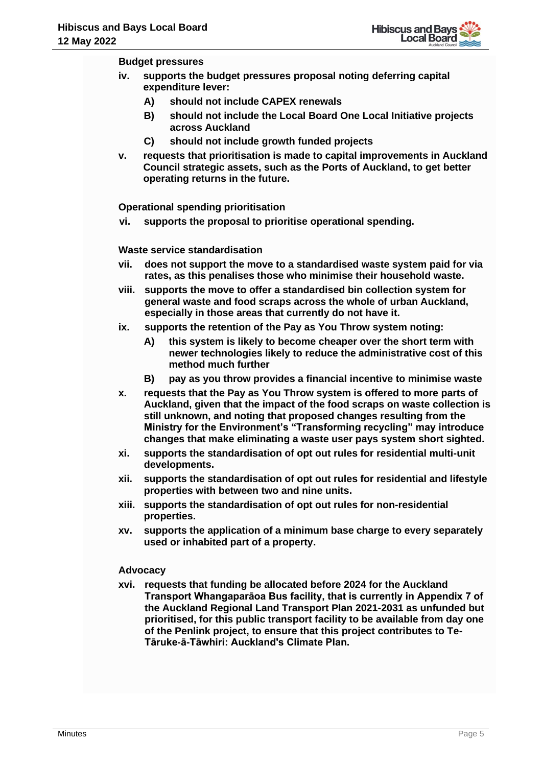

#### **Budget pressures**

- **iv. supports the budget pressures proposal noting deferring capital expenditure lever:**
	- **A) should not include CAPEX renewals**
	- **B) should not include the Local Board One Local Initiative projects across Auckland**
	- **C) should not include growth funded projects**
- **v. requests that prioritisation is made to capital improvements in Auckland Council strategic assets, such as the Ports of Auckland, to get better operating returns in the future.**

**Operational spending prioritisation** 

**vi. supports the proposal to prioritise operational spending.**

**Waste service standardisation** 

- **vii. does not support the move to a standardised waste system paid for via rates, as this penalises those who minimise their household waste.**
- **viii. supports the move to offer a standardised bin collection system for general waste and food scraps across the whole of urban Auckland, especially in those areas that currently do not have it.**
- **ix. supports the retention of the Pay as You Throw system noting:** 
	- **A) this system is likely to become cheaper over the short term with newer technologies likely to reduce the administrative cost of this method much further**
	- **B) pay as you throw provides a financial incentive to minimise waste**
- **x. requests that the Pay as You Throw system is offered to more parts of Auckland, given that the impact of the food scraps on waste collection is still unknown, and noting that proposed changes resulting from the Ministry for the Environment's "Transforming recycling" may introduce changes that make eliminating a waste user pays system short sighted.**
- **xi. supports the standardisation of opt out rules for residential multi-unit developments.**
- **xii. supports the standardisation of opt out rules for residential and lifestyle properties with between two and nine units.**
- **xiii. supports the standardisation of opt out rules for non-residential properties.**
- **xv. supports the application of a minimum base charge to every separately used or inhabited part of a property.**

## **Advocacy**

**xvi. requests that funding be allocated before 2024 for the Auckland Transport Whangaparāoa Bus facility, that is currently in Appendix 7 of the Auckland Regional Land Transport Plan 2021-2031 as unfunded but prioritised, for this public transport facility to be available from day one of the Penlink project, to ensure that this project contributes to Te-Tāruke-ā-Tāwhiri: Auckland's Climate Plan.**